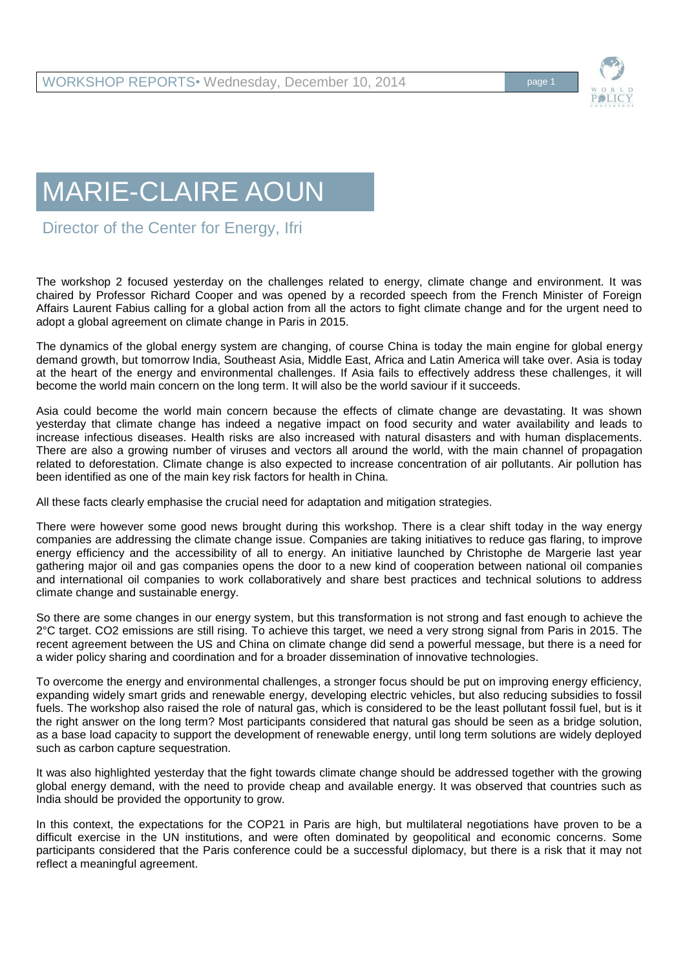

## MARIE-CLAIRE AOUN

Director of the Center for Energy, Ifri

The workshop 2 focused yesterday on the challenges related to energy, climate change and environment. It was chaired by Professor Richard Cooper and was opened by a recorded speech from the French Minister of Foreign Affairs Laurent Fabius calling for a global action from all the actors to fight climate change and for the urgent need to adopt a global agreement on climate change in Paris in 2015.

The dynamics of the global energy system are changing, of course China is today the main engine for global energy demand growth, but tomorrow India, Southeast Asia, Middle East, Africa and Latin America will take over. Asia is today at the heart of the energy and environmental challenges. If Asia fails to effectively address these challenges, it will become the world main concern on the long term. It will also be the world saviour if it succeeds.

Asia could become the world main concern because the effects of climate change are devastating. It was shown yesterday that climate change has indeed a negative impact on food security and water availability and leads to increase infectious diseases. Health risks are also increased with natural disasters and with human displacements. There are also a growing number of viruses and vectors all around the world, with the main channel of propagation related to deforestation. Climate change is also expected to increase concentration of air pollutants. Air pollution has been identified as one of the main key risk factors for health in China.

All these facts clearly emphasise the crucial need for adaptation and mitigation strategies.

There were however some good news brought during this workshop. There is a clear shift today in the way energy companies are addressing the climate change issue. Companies are taking initiatives to reduce gas flaring, to improve energy efficiency and the accessibility of all to energy. An initiative launched by Christophe de Margerie last year gathering major oil and gas companies opens the door to a new kind of cooperation between national oil companies and international oil companies to work collaboratively and share best practices and technical solutions to address climate change and sustainable energy.

So there are some changes in our energy system, but this transformation is not strong and fast enough to achieve the 2°C target. CO2 emissions are still rising. To achieve this target, we need a very strong signal from Paris in 2015. The recent agreement between the US and China on climate change did send a powerful message, but there is a need for a wider policy sharing and coordination and for a broader dissemination of innovative technologies.

To overcome the energy and environmental challenges, a stronger focus should be put on improving energy efficiency, expanding widely smart grids and renewable energy, developing electric vehicles, but also reducing subsidies to fossil fuels. The workshop also raised the role of natural gas, which is considered to be the least pollutant fossil fuel, but is it the right answer on the long term? Most participants considered that natural gas should be seen as a bridge solution, as a base load capacity to support the development of renewable energy, until long term solutions are widely deployed such as carbon capture sequestration.

It was also highlighted yesterday that the fight towards climate change should be addressed together with the growing global energy demand, with the need to provide cheap and available energy. It was observed that countries such as India should be provided the opportunity to grow.

In this context, the expectations for the COP21 in Paris are high, but multilateral negotiations have proven to be a difficult exercise in the UN institutions, and were often dominated by geopolitical and economic concerns. Some participants considered that the Paris conference could be a successful diplomacy, but there is a risk that it may not reflect a meaningful agreement.